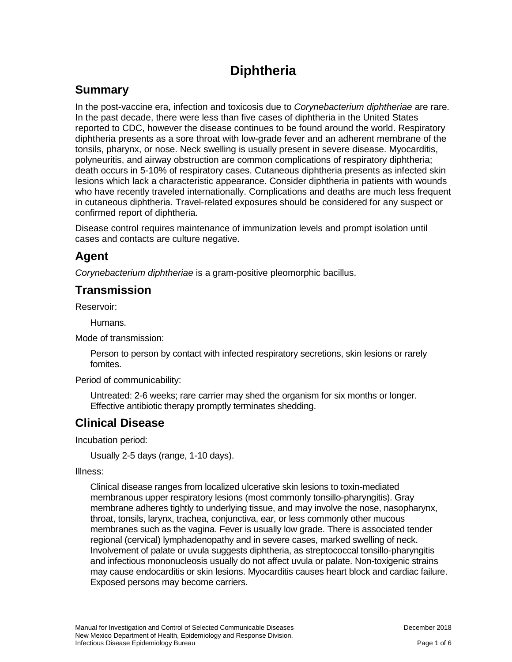# **Diphtheria**

### **Summary**

In the post-vaccine era, infection and toxicosis due to *Corynebacterium diphtheriae* are rare. In the past decade, there were less than five cases of diphtheria in the United States reported to CDC, however the disease continues to be found around the world. Respiratory diphtheria presents as a sore throat with low-grade fever and an adherent membrane of the tonsils, pharynx, or nose. Neck swelling is usually present in severe disease. Myocarditis, polyneuritis, and airway obstruction are common complications of respiratory diphtheria; death occurs in 5-10% of respiratory cases. Cutaneous diphtheria presents as infected skin lesions which lack a characteristic appearance. Consider diphtheria in patients with wounds who have recently traveled internationally. Complications and deaths are much less frequent in cutaneous diphtheria. Travel-related exposures should be considered for any suspect or confirmed report of diphtheria.

Disease control requires maintenance of immunization levels and prompt isolation until cases and contacts are culture negative.

## **Agent**

*Corynebacterium diphtheriae* is a gram-positive pleomorphic bacillus.

## **Transmission**

Reservoir:

Humans.

Mode of transmission:

Person to person by contact with infected respiratory secretions, skin lesions or rarely fomites.

#### Period of communicability:

Untreated: 2-6 weeks; rare carrier may shed the organism for six months or longer. Effective antibiotic therapy promptly terminates shedding.

## **Clinical Disease**

Incubation period:

```
Usually 2-5 days (range, 1-10 days).
```
Illness:

Clinical disease ranges from localized ulcerative skin lesions to toxin-mediated membranous upper respiratory lesions (most commonly tonsillo-pharyngitis). Gray membrane adheres tightly to underlying tissue, and may involve the nose, nasopharynx, throat, tonsils, larynx, trachea, conjunctiva, ear, or less commonly other mucous membranes such as the vagina. Fever is usually low grade. There is associated tender regional (cervical) lymphadenopathy and in severe cases, marked swelling of neck. Involvement of palate or uvula suggests diphtheria, as streptococcal tonsillo-pharyngitis and infectious mononucleosis usually do not affect uvula or palate. Non-toxigenic strains may cause endocarditis or skin lesions. Myocarditis causes heart block and cardiac failure. Exposed persons may become carriers.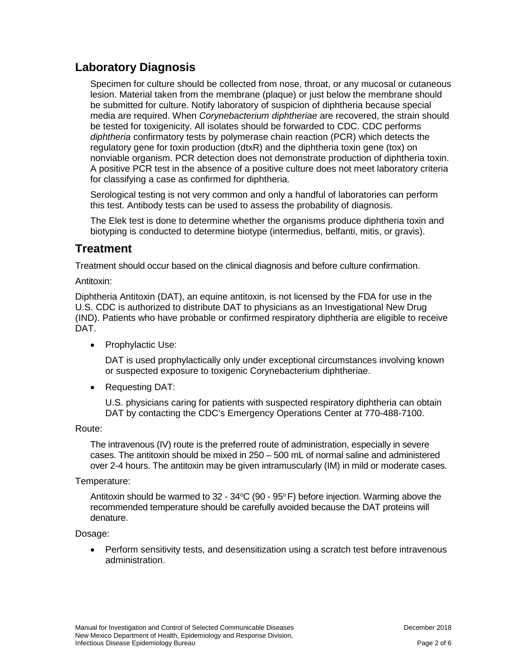### **Laboratory Diagnosis**

Specimen for culture should be collected from nose, throat, or any mucosal or cutaneous lesion. Material taken from the membrane (plaque) or just below the membrane should be submitted for culture. Notify laboratory of suspicion of diphtheria because special media are required. When *Corynebacterium diphtheriae* are recovered, the strain should be tested for toxigenicity. All isolates should be forwarded to CDC. CDC performs *diphtheria* confirmatory tests by polymerase chain reaction (PCR) which detects the regulatory gene for toxin production (dtxR) and the diphtheria toxin gene (tox) on nonviable organism. PCR detection does not demonstrate production of diphtheria toxin. A positive PCR test in the absence of a positive culture does not meet laboratory criteria for classifying a case as confirmed for diphtheria.

Serological testing is not very common and only a handful of laboratories can perform this test. Antibody tests can be used to assess the probability of diagnosis.

The Elek test is done to determine whether the organisms produce diphtheria toxin and biotyping is conducted to determine biotype (intermedius, belfanti, mitis, or gravis).

### **Treatment**

Treatment should occur based on the clinical diagnosis and before culture confirmation.

Antitoxin:

Diphtheria Antitoxin (DAT), an equine antitoxin, is not licensed by the FDA for use in the U.S. CDC is authorized to distribute DAT to physicians as an Investigational New Drug (IND). Patients who have probable or confirmed respiratory diphtheria are eligible to receive DAT.

• Prophylactic Use:

DAT is used prophylactically only under exceptional circumstances involving known or suspected exposure to toxigenic Corynebacterium diphtheriae.

• Requesting DAT:

U.S. physicians caring for patients with suspected respiratory diphtheria can obtain DAT by contacting the CDC's Emergency Operations Center at 770-488-7100.

Route:

The intravenous (IV) route is the preferred route of administration, especially in severe cases. The antitoxin should be mixed in 250 – 500 mL of normal saline and administered over 2-4 hours. The antitoxin may be given intramuscularly (IM) in mild or moderate cases.

Temperature:

Antitoxin should be warmed to  $32$  -  $34^{\circ}$ C (90 - 95 $^{\circ}$  F) before injection. Warming above the recommended temperature should be carefully avoided because the DAT proteins will denature.

Dosage:

• Perform sensitivity tests, and desensitization using a scratch test before intravenous administration.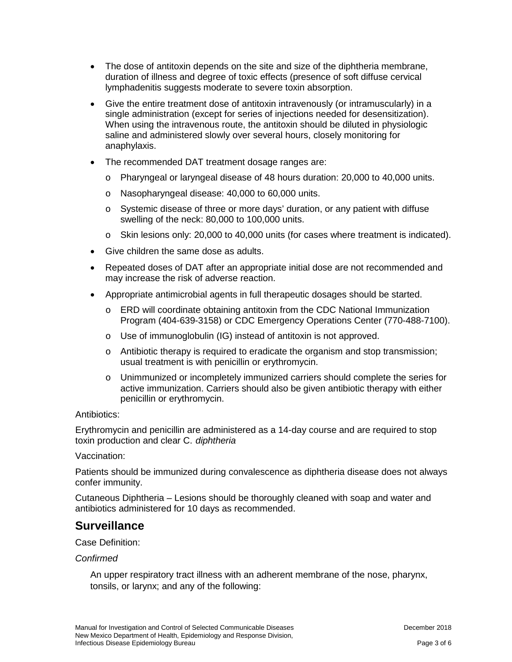- The dose of antitoxin depends on the site and size of the diphtheria membrane, duration of illness and degree of toxic effects (presence of soft diffuse cervical lymphadenitis suggests moderate to severe toxin absorption.
- Give the entire treatment dose of antitoxin intravenously (or intramuscularly) in a single administration (except for series of injections needed for desensitization). When using the intravenous route, the antitoxin should be diluted in physiologic saline and administered slowly over several hours, closely monitoring for anaphylaxis.
- The recommended DAT treatment dosage ranges are:
	- o Pharyngeal or laryngeal disease of 48 hours duration: 20,000 to 40,000 units.
	- o Nasopharyngeal disease: 40,000 to 60,000 units.
	- o Systemic disease of three or more days' duration, or any patient with diffuse swelling of the neck: 80,000 to 100,000 units.
	- o Skin lesions only: 20,000 to 40,000 units (for cases where treatment is indicated).
- Give children the same dose as adults.
- Repeated doses of DAT after an appropriate initial dose are not recommended and may increase the risk of adverse reaction.
- Appropriate antimicrobial agents in full therapeutic dosages should be started.
	- o ERD will coordinate obtaining antitoxin from the CDC National Immunization Program (404-639-3158) or CDC Emergency Operations Center (770-488-7100).
	- o Use of immunoglobulin (IG) instead of antitoxin is not approved.
	- o Antibiotic therapy is required to eradicate the organism and stop transmission; usual treatment is with penicillin or erythromycin.
	- o Unimmunized or incompletely immunized carriers should complete the series for active immunization. Carriers should also be given antibiotic therapy with either penicillin or erythromycin.

Antibiotics:

Erythromycin and penicillin are administered as a 14-day course and are required to stop toxin production and clear C. *diphtheria*

Vaccination:

Patients should be immunized during convalescence as diphtheria disease does not always confer immunity.

Cutaneous Diphtheria – Lesions should be thoroughly cleaned with soap and water and antibiotics administered for 10 days as recommended.

#### **Surveillance**

Case Definition:

#### *Confirmed*

An upper respiratory tract illness with an adherent membrane of the nose, pharynx, tonsils, or larynx; and any of the following: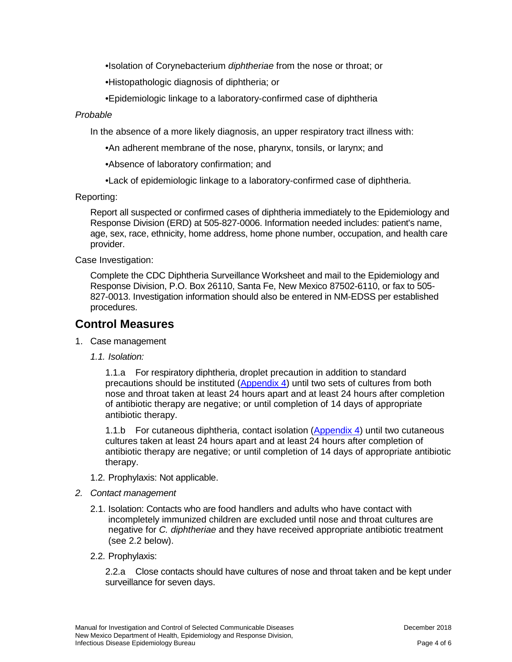•Isolation of Corynebacterium *diphtheriae* from the nose or throat; or

•Histopathologic diagnosis of diphtheria; or

•Epidemiologic linkage to a laboratory-confirmed case of diphtheria

#### *Probable*

In the absence of a more likely diagnosis, an upper respiratory tract illness with:

•An adherent membrane of the nose, pharynx, tonsils, or larynx; and

•Absence of laboratory confirmation; and

•Lack of epidemiologic linkage to a laboratory-confirmed case of diphtheria.

Reporting:

Report all suspected or confirmed cases of diphtheria immediately to the Epidemiology and Response Division (ERD) at 505-827-0006. Information needed includes: patient's name, age, sex, race, ethnicity, home address, home phone number, occupation, and health care provider.

Case Investigation:

Complete the CDC Diphtheria Surveillance Worksheet and mail to the Epidemiology and Response Division, P.O. Box 26110, Santa Fe, New Mexico 87502-6110, or fax to 505- 827-0013. Investigation information should also be entered in NM-EDSS per established procedures.

### **Control Measures**

- 1. Case management
	- *1.1. Isolation:*

1.1.a For respiratory diphtheria, droplet precaution in addition to standard precautions should be instituted [\(Appendix 4\)](https://nmhealth.org/publication/view/general/5152/) until two sets of cultures from both nose and throat taken at least 24 hours apart and at least 24 hours after completion of antibiotic therapy are negative; or until completion of 14 days of appropriate antibiotic therapy.

1.1.b For cutaneous diphtheria, contact isolation  $(Appendix 4)$  until two cutaneous cultures taken at least 24 hours apart and at least 24 hours after completion of antibiotic therapy are negative; or until completion of 14 days of appropriate antibiotic therapy.

- 1.2. Prophylaxis: Not applicable.
- *2. Contact management*
	- 2.1. Isolation: Contacts who are food handlers and adults who have contact with incompletely immunized children are excluded until nose and throat cultures are negative for *C. diphtheriae* and they have received appropriate antibiotic treatment (see 2.2 below).
	- 2.2. Prophylaxis:

2.2.a Close contacts should have cultures of nose and throat taken and be kept under surveillance for seven days.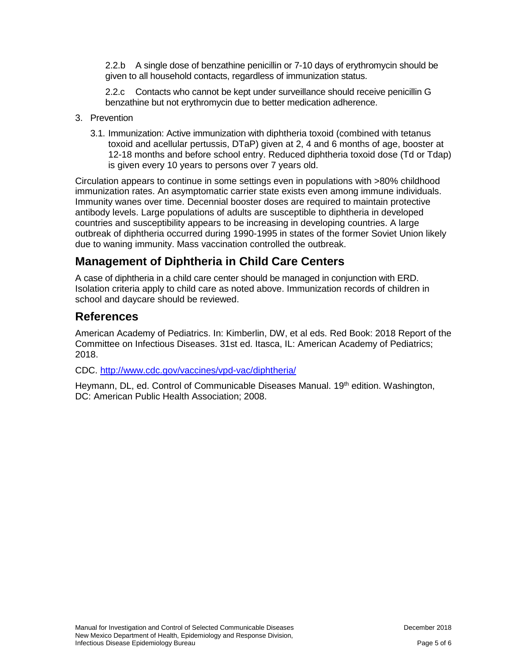2.2.b A single dose of benzathine penicillin or 7-10 days of erythromycin should be given to all household contacts, regardless of immunization status.

2.2.c Contacts who cannot be kept under surveillance should receive penicillin G benzathine but not erythromycin due to better medication adherence.

- 3. Prevention
	- 3.1. Immunization: Active immunization with diphtheria toxoid (combined with tetanus toxoid and acellular pertussis, DTaP) given at 2, 4 and 6 months of age, booster at 12-18 months and before school entry. Reduced diphtheria toxoid dose (Td or Tdap) is given every 10 years to persons over 7 years old.

Circulation appears to continue in some settings even in populations with >80% childhood immunization rates. An asymptomatic carrier state exists even among immune individuals. Immunity wanes over time. Decennial booster doses are required to maintain protective antibody levels. Large populations of adults are susceptible to diphtheria in developed countries and susceptibility appears to be increasing in developing countries. A large outbreak of diphtheria occurred during 1990-1995 in states of the former Soviet Union likely due to waning immunity. Mass vaccination controlled the outbreak.

### **Management of Diphtheria in Child Care Centers**

A case of diphtheria in a child care center should be managed in conjunction with ERD. Isolation criteria apply to child care as noted above. Immunization records of children in school and daycare should be reviewed.

### **References**

American Academy of Pediatrics. In: Kimberlin, DW, et al eds. Red Book: 2018 Report of the Committee on Infectious Diseases. 31st ed. Itasca, IL: American Academy of Pediatrics; 2018.

CDC.<http://www.cdc.gov/vaccines/vpd-vac/diphtheria/>

Heymann, DL, ed. Control of Communicable Diseases Manual. 19<sup>th</sup> edition. Washington, DC: American Public Health Association; 2008.